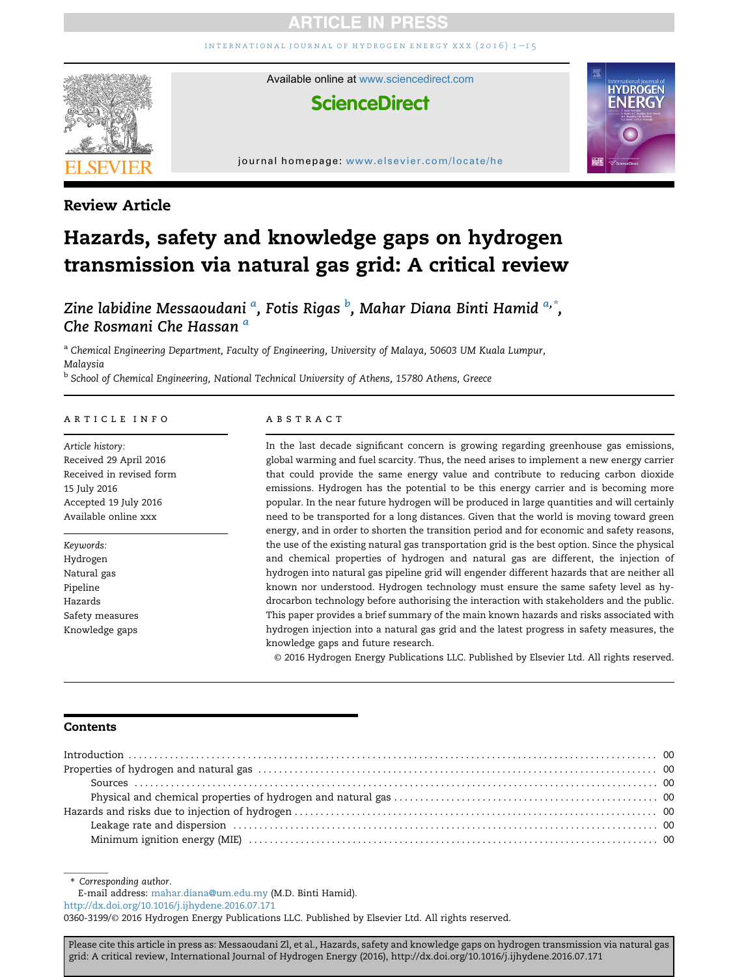# **ARTICLE IN PRES**

INTERNATIONAL JOURNAL OF HYDROGEN ENERGY XXX  $(2016)$  I-15



Available online at [www.sciencedirect.com](www.sciencedirect.com/science/journal/03603199)

# **ScienceDirect**



#### journal homepage: <www.elsevier.com/locate/he>

### Review Article

# Hazards, safety and knowledge gaps on hydrogen transmission via natural gas grid: A critical review

Zine labidine Messaoudani <sup>a</sup>, Fotis Rigas <sup>b</sup>, Mahar Diana Binti Hamid <sup>a,</sup>\*, Che Rosmani Che Hassan <sup>a</sup>

a Chemical Engineering Department, Faculty of Engineering, University of Malaya, 50603 UM Kuala Lumpur, Malaysia

<sup>b</sup> School of Chemical Engineering, National Technical University of Athens, 15780 Athens, Greece

#### article info

Article history: Received 29 April 2016 Received in revised form 15 July 2016 Accepted 19 July 2016 Available online xxx

Keywords: Hydrogen Natural gas Pipeline Hazards Safety measures Knowledge gaps

#### **ABSTRACT**

In the last decade significant concern is growing regarding greenhouse gas emissions, global warming and fuel scarcity. Thus, the need arises to implement a new energy carrier that could provide the same energy value and contribute to reducing carbon dioxide emissions. Hydrogen has the potential to be this energy carrier and is becoming more popular. In the near future hydrogen will be produced in large quantities and will certainly need to be transported for a long distances. Given that the world is moving toward green energy, and in order to shorten the transition period and for economic and safety reasons, the use of the existing natural gas transportation grid is the best option. Since the physical and chemical properties of hydrogen and natural gas are different, the injection of hydrogen into natural gas pipeline grid will engender different hazards that are neither all known nor understood. Hydrogen technology must ensure the same safety level as hydrocarbon technology before authorising the interaction with stakeholders and the public. This paper provides a brief summary of the main known hazards and risks associated with hydrogen injection into a natural gas grid and the latest progress in safety measures, the knowledge gaps and future research.

© 2016 Hydrogen Energy Publications LLC. Published by Elsevier Ltd. All rights reserved.

#### Contents

\* Corresponding author.

E-mail address: [mahar.diana@um.edu.my](mailto:mahar.diana@um.edu.my) (M.D. Binti Hamid).

<http://dx.doi.org/10.1016/j.ijhydene.2016.07.171>

0360-3199/© 2016 Hydrogen Energy Publications LLC. Published by Elsevier Ltd. All rights reserved.

Please cite this article in press as: Messaoudani Zl, et al., Hazards, safety and knowledge gaps on hydrogen transmission via natural gas grid: A critical review, International Journal of Hydrogen Energy (2016), http://dx.doi.org/10.1016/j.ijhydene.2016.07.171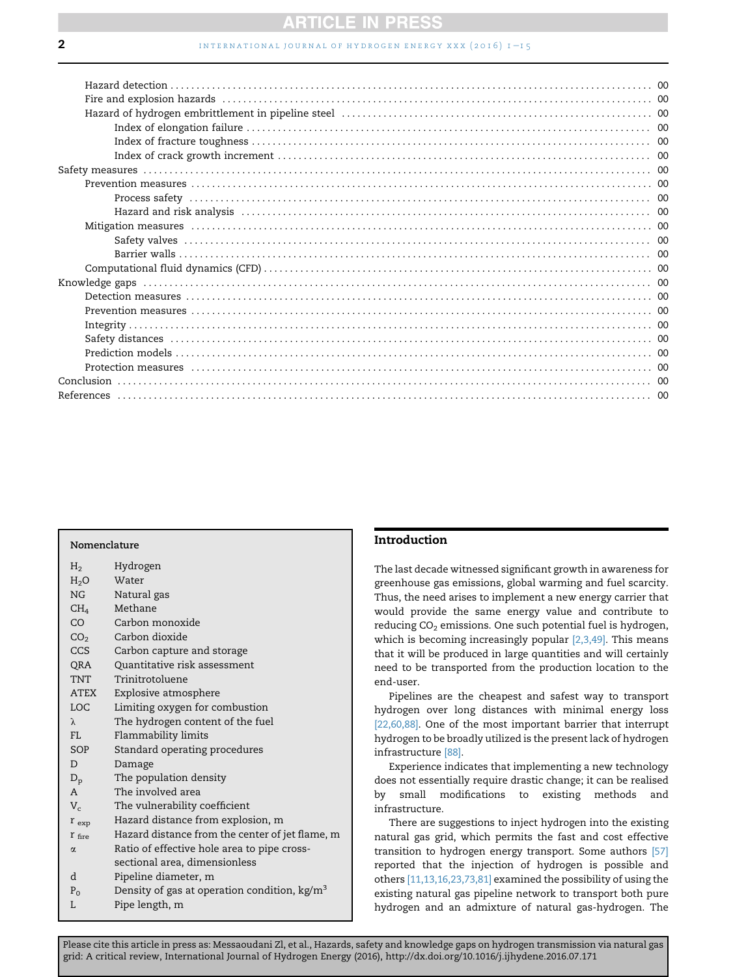## **ARTICLE IN PRESS**

#### **2** international journal of hydrogen energy xxx (2016)  $1 - 15$

#### Nomenclature

| H <sub>2</sub>    | Hydrogen                                               |
|-------------------|--------------------------------------------------------|
| $H_2O$            | Water                                                  |
| NG                | Natural gas                                            |
| $\rm CH_4$        | Methane                                                |
| CO                | Carbon monoxide                                        |
| CO <sub>2</sub>   | Carbon dioxide                                         |
| CCS               | Carbon capture and storage                             |
| QRA               | Quantitative risk assessment                           |
| TNT               | Trinitrotoluene                                        |
| ATEX              | Explosive atmosphere                                   |
| <b>LOC</b>        | Limiting oxygen for combustion                         |
| $\lambda$         | The hydrogen content of the fuel                       |
| FL.               | Flammability limits                                    |
| SOP               | Standard operating procedures                          |
| D                 | Damage                                                 |
| $D_{\rm p}$       | The population density                                 |
| $\mathsf{A}$      | The involved area                                      |
| $V_c$             | The vulnerability coefficient                          |
| $r_{exp}$         | Hazard distance from explosion, m                      |
| $r_{\text{fire}}$ | Hazard distance from the center of jet flame, m        |
| $\alpha$          | Ratio of effective hole area to pipe cross-            |
|                   | sectional area, dimensionless                          |
| d                 | Pipeline diameter, m                                   |
| $P_0$             | Density of gas at operation condition, $\text{kg/m}^3$ |
| L                 | Pipe length, m                                         |

#### Introduction

The last decade witnessed significant growth in awareness for greenhouse gas emissions, global warming and fuel scarcity. Thus, the need arises to implement a new energy carrier that would provide the same energy value and contribute to reducing  $CO<sub>2</sub>$  emissions. One such potential fuel is hydrogen, which is becoming increasingly popular [\[2,3,49\]](#page--1-0). This means that it will be produced in large quantities and will certainly need to be transported from the production location to the end-user.

Pipelines are the cheapest and safest way to transport hydrogen over long distances with minimal energy loss [\[22,60,88\]](#page--1-0). One of the most important barrier that interrupt hydrogen to be broadly utilized is the present lack of hydrogen infrastructure [\[88\].](#page--1-0)

Experience indicates that implementing a new technology does not essentially require drastic change; it can be realised by small modifications to existing methods and infrastructure.

There are suggestions to inject hydrogen into the existing natural gas grid, which permits the fast and cost effective transition to hydrogen energy transport. Some authors [\[57\]](#page--1-0) reported that the injection of hydrogen is possible and others [\[11,13,16,23,73,81\]](#page--1-0) examined the possibility of using the existing natural gas pipeline network to transport both pure hydrogen and an admixture of natural gas-hydrogen. The